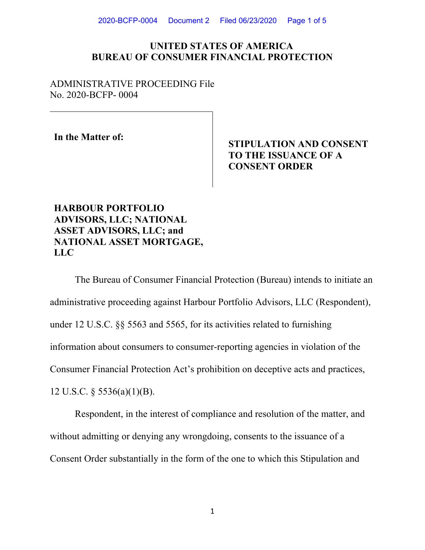2020-BCFP-0004 Document 2 Filed 06/23/2020 Page 1 of 5

## **UNITED STATES OF AMERICA BUREAU OF CONSUMER FINANCIAL PROTECTION**

ADMINISTRATIVE PROCEEDING File No. 2020-BCFP- 0004

**In the Matter of:** 

# **STIPULATION AND CONSENT TO THE ISSUANCE OF A CONSENT ORDER**

## **HARBOUR PORTFOLIO ADVISORS, LLC; NATIONAL ASSET ADVISORS, LLC; and NATIONAL ASSET MORTGAGE, LLC**

The Bureau of Consumer Financial Protection (Bureau) intends to initiate an administrative proceeding against Harbour Portfolio Advisors, LLC (Respondent), under 12 U.S.C. §§ 5563 and 5565, for its activities related to furnishing information about consumers to consumer-reporting agencies in violation of the Consumer Financial Protection Act's prohibition on deceptive acts and practices, 12 U.S.C. § 5536(a)(1)(B).

Respondent, in the interest of compliance and resolution of the matter, and without admitting or denying any wrongdoing, consents to the issuance of a Consent Order substantially in the form of the one to which this Stipulation and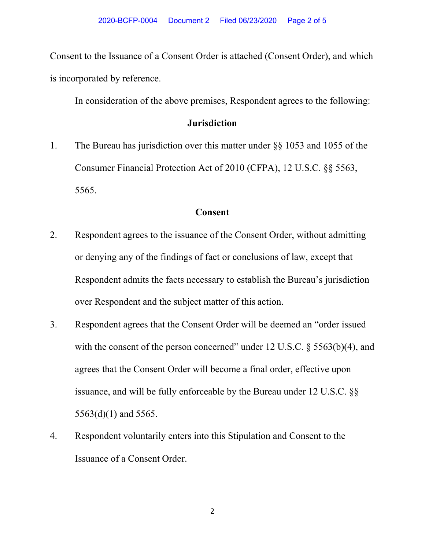Consent to the Issuance of a Consent Order is attached (Consent Order), and which is incorporated by reference.

In consideration of the above premises, Respondent agrees to the following:

### **Jurisdiction**

1. The Bureau has jurisdiction over this matter under §§ 1053 and 1055 of the Consumer Financial Protection Act of 2010 (CFPA), 12 U.S.C. §§ 5563, 5565.

## **Consent**

- 2. Respondent agrees to the issuance of the Consent Order, without admitting or denying any of the findings of fact or conclusions of law, except that Respondent admits the facts necessary to establish the Bureau's jurisdiction over Respondent and the subject matter of this action.
- 3. Respondent agrees that the Consent Order will be deemed an "order issued with the consent of the person concerned" under 12 U.S.C.  $\S$  5563(b)(4), and agrees that the Consent Order will become a final order, effective upon issuance, and will be fully enforceable by the Bureau under 12 U.S.C. §§ 5563(d)(1) and 5565.
- 4. Respondent voluntarily enters into this Stipulation and Consent to the Issuance of a Consent Order.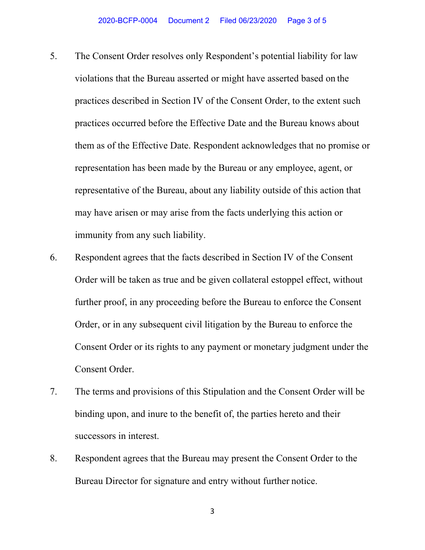- 5. The Consent Order resolves only Respondent's potential liability for law violations that the Bureau asserted or might have asserted based on the practices described in Section IV of the Consent Order, to the extent such practices occurred before the Effective Date and the Bureau knows about them as of the Effective Date. Respondent acknowledges that no promise or representation has been made by the Bureau or any employee, agent, or representative of the Bureau, about any liability outside of this action that may have arisen or may arise from the facts underlying this action or immunity from any such liability.
- 6. Respondent agrees that the facts described in Section IV of the Consent Order will be taken as true and be given collateral estoppel effect, without further proof, in any proceeding before the Bureau to enforce the Consent Order, or in any subsequent civil litigation by the Bureau to enforce the Consent Order or its rights to any payment or monetary judgment under the Consent Order.
- 7. The terms and provisions of this Stipulation and the Consent Order will be binding upon, and inure to the benefit of, the parties hereto and their successors in interest.
- 8. Respondent agrees that the Bureau may present the Consent Order to the Bureau Director for signature and entry without further notice.

3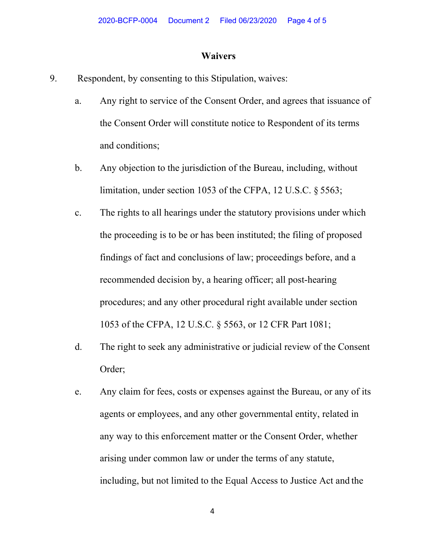#### **Waivers**

- 9. Respondent, by consenting to this Stipulation, waives:
	- a. Any right to service of the Consent Order, and agrees that issuance of the Consent Order will constitute notice to Respondent of its terms and conditions;
	- b. Any objection to the jurisdiction of the Bureau, including, without limitation, under section 1053 of the CFPA, 12 U.S.C. § 5563;
	- c. The rights to all hearings under the statutory provisions under which the proceeding is to be or has been instituted; the filing of proposed findings of fact and conclusions of law; proceedings before, and a recommended decision by, a hearing officer; all post-hearing procedures; and any other procedural right available under section 1053 of the CFPA, 12 U.S.C. § 5563, or 12 CFR Part 1081;
	- d. The right to seek any administrative or judicial review of the Consent Order;
	- e. Any claim for fees, costs or expenses against the Bureau, or any of its agents or employees, and any other governmental entity, related in any way to this enforcement matter or the Consent Order, whether arising under common law or under the terms of any statute, including, but not limited to the Equal Access to Justice Act and the